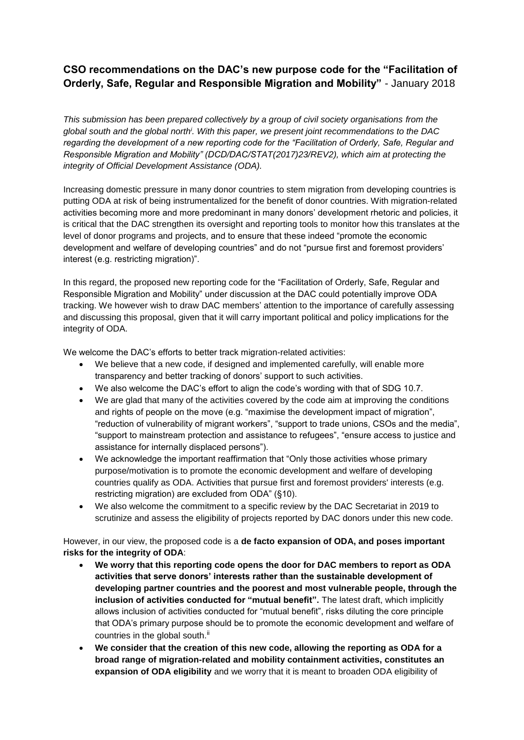## **CSO recommendations on the DAC's new purpose code for the "Facilitation of Orderly, Safe, Regular and Responsible Migration and Mobility"** - January 2018

*This submission has been prepared collectively by a group of civil society organisations from the global south and the global north<sup>i</sup> . With this paper, we present joint recommendations to the DAC regarding the development of a new reporting code for the "Facilitation of Orderly, Safe, Regular and Responsible Migration and Mobility" (DCD/DAC/STAT(2017)23/REV2), which aim at protecting the integrity of Official Development Assistance (ODA).*

Increasing domestic pressure in many donor countries to stem migration from developing countries is putting ODA at risk of being instrumentalized for the benefit of donor countries. With migration-related activities becoming more and more predominant in many donors' development rhetoric and policies, it is critical that the DAC strengthen its oversight and reporting tools to monitor how this translates at the level of donor programs and projects, and to ensure that these indeed "promote the economic development and welfare of developing countries" and do not "pursue first and foremost providers' interest (e.g. restricting migration)".

In this regard, the proposed new reporting code for the "Facilitation of Orderly, Safe, Regular and Responsible Migration and Mobility" under discussion at the DAC could potentially improve ODA tracking. We however wish to draw DAC members' attention to the importance of carefully assessing and discussing this proposal, given that it will carry important political and policy implications for the integrity of ODA.

We welcome the DAC's efforts to better track migration-related activities:

- We believe that a new code, if designed and implemented carefully, will enable more transparency and better tracking of donors' support to such activities.
- We also welcome the DAC's effort to align the code's wording with that of SDG 10.7.
- We are glad that many of the activities covered by the code aim at improving the conditions and rights of people on the move (e.g. "maximise the development impact of migration", "reduction of vulnerability of migrant workers", "support to trade unions, CSOs and the media", "support to mainstream protection and assistance to refugees", "ensure access to justice and assistance for internally displaced persons").
- We acknowledge the important reaffirmation that "Only those activities whose primary purpose/motivation is to promote the economic development and welfare of developing countries qualify as ODA. Activities that pursue first and foremost providers' interests (e.g. restricting migration) are excluded from ODA" (§10).
- We also welcome the commitment to a specific review by the DAC Secretariat in 2019 to scrutinize and assess the eligibility of projects reported by DAC donors under this new code.

However, in our view, the proposed code is a **de facto expansion of ODA, and poses important risks for the integrity of ODA**:

- **We worry that this reporting code opens the door for DAC members to report as ODA activities that serve donors' interests rather than the sustainable development of developing partner countries and the poorest and most vulnerable people, through the inclusion of activities conducted for "mutual benefit".** The latest draft, which implicitly allows inclusion of activities conducted for "mutual benefit", risks diluting the core principle that ODA's primary purpose should be to promote the economic development and welfare of countries in the global south. $ii$
- **We consider that the creation of this new code, allowing the reporting as ODA for a broad range of migration-related and mobility containment activities, constitutes an expansion of ODA eligibility** and we worry that it is meant to broaden ODA eligibility of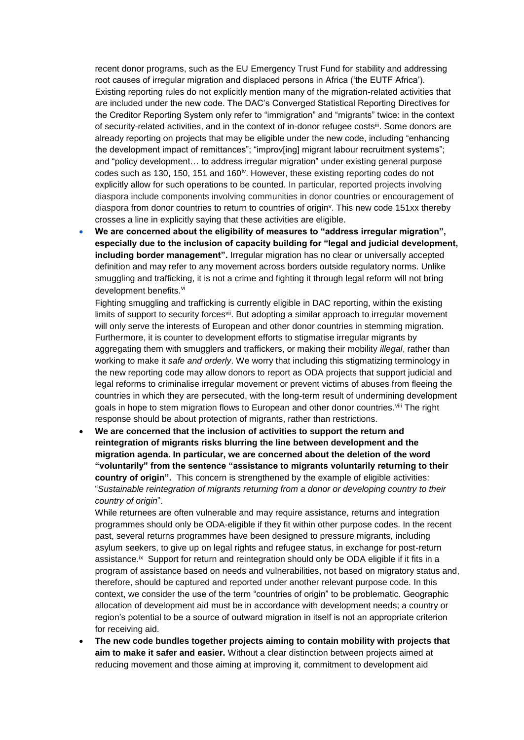recent donor programs, such as the EU Emergency Trust Fund for stability and addressing root causes of irregular migration and displaced persons in Africa ('the EUTF Africa'). Existing reporting rules do not explicitly mention many of the migration-related activities that are included under the new code. The DAC's Converged Statistical Reporting Directives for the Creditor Reporting System only refer to "immigration" and "migrants" twice: in the context of security-related activities, and in the context of in-donor refugee costs<sup>iii</sup>. Some donors are already reporting on projects that may be eligible under the new code, including "enhancing the development impact of remittances"; "improv[ing] migrant labour recruitment systems"; and "policy development… to address irregular migration" under existing general purpose codes such as 130, 150, 151 and 160 $\dot{v}$ . However, these existing reporting codes do not explicitly allow for such operations to be counted. In particular, reported projects involving diaspora include components involving communities in donor countries or encouragement of diaspora from donor countries to return to countries of origin<sup>y</sup>. This new code  $151xx$  thereby crosses a line in explicitly saying that these activities are eligible.

 **We are concerned about the eligibility of measures to "address irregular migration", especially due to the inclusion of capacity building for "legal and judicial development, including border management".** Irregular migration has no clear or universally accepted definition and may refer to any movement across borders outside regulatory norms. Unlike smuggling and trafficking, it is not a crime and fighting it through legal reform will not bring development benefits.<sup>vi</sup>

Fighting smuggling and trafficking is currently eligible in DAC reporting, within the existing limits of support to security forces<sup>vii</sup>. But adopting a similar approach to irregular movement will only serve the interests of European and other donor countries in stemming migration. Furthermore, it is counter to development efforts to stigmatise irregular migrants by aggregating them with smugglers and traffickers, or making their mobility *illegal*, rather than working to make it *safe and orderly*. We worry that including this stigmatizing terminology in the new reporting code may allow donors to report as ODA projects that support judicial and legal reforms to criminalise irregular movement or prevent victims of abuses from fleeing the countries in which they are persecuted, with the long-term result of undermining development goals in hope to stem migration flows to European and other donor countries.<sup>viii</sup> The right response should be about protection of migrants, rather than restrictions.

 **We are concerned that the inclusion of activities to support the return and reintegration of migrants risks blurring the line between development and the migration agenda. In particular, we are concerned about the deletion of the word "voluntarily" from the sentence "assistance to migrants voluntarily returning to their country of origin".** This concern is strengthened by the example of eligible activities: "*Sustainable reintegration of migrants returning from a donor or developing country to their country of origin*".

While returnees are often vulnerable and may require assistance, returns and integration programmes should only be ODA-eligible if they fit within other purpose codes. In the recent past, several returns programmes have been designed to pressure migrants, including asylum seekers, to give up on legal rights and refugee status, in exchange for post-return assistance.<sup>ix</sup> Support for return and reintegration should only be ODA eligible if it fits in a program of assistance based on needs and vulnerabilities, not based on migratory status and, therefore, should be captured and reported under another relevant purpose code. In this context, we consider the use of the term "countries of origin" to be problematic. Geographic allocation of development aid must be in accordance with development needs; a country or region's potential to be a source of outward migration in itself is not an appropriate criterion for receiving aid.

 **The new code bundles together projects aiming to contain mobility with projects that aim to make it safer and easier.** Without a clear distinction between projects aimed at reducing movement and those aiming at improving it, commitment to development aid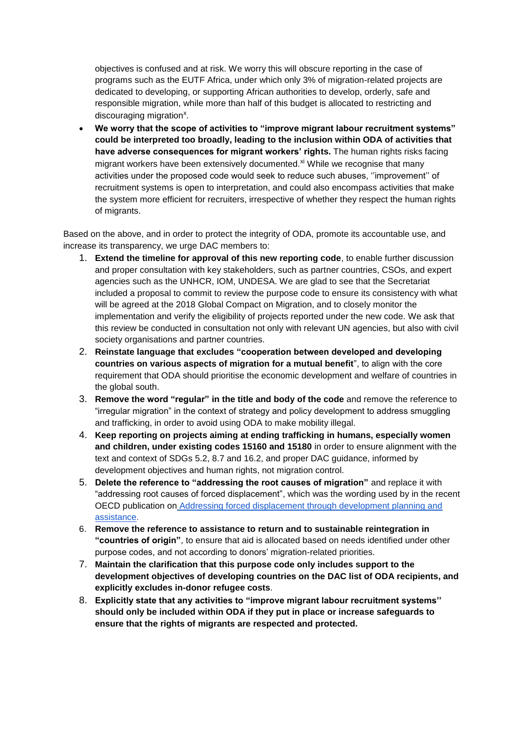objectives is confused and at risk. We worry this will obscure reporting in the case of programs such as the EUTF Africa, under which only 3% of migration-related projects are dedicated to developing, or supporting African authorities to develop, orderly, safe and responsible migration, while more than half of this budget is allocated to restricting and discouraging migration<sup>x</sup>.

 **We worry that the scope of activities to "improve migrant labour recruitment systems" could be interpreted too broadly, leading to the inclusion within ODA of activities that have adverse consequences for migrant workers' rights.** The human rights risks facing migrant workers have been extensively documented. $x<sup>i</sup>$  While we recognise that many activities under the proposed code would seek to reduce such abuses, ''improvement'' of recruitment systems is open to interpretation, and could also encompass activities that make the system more efficient for recruiters, irrespective of whether they respect the human rights of migrants.

Based on the above, and in order to protect the integrity of ODA, promote its accountable use, and increase its transparency, we urge DAC members to:

- 1. **Extend the timeline for approval of this new reporting code**, to enable further discussion and proper consultation with key stakeholders, such as partner countries, CSOs, and expert agencies such as the UNHCR, IOM, UNDESA. We are glad to see that the Secretariat included a proposal to commit to review the purpose code to ensure its consistency with what will be agreed at the 2018 Global Compact on Migration, and to closely monitor the implementation and verify the eligibility of projects reported under the new code. We ask that this review be conducted in consultation not only with relevant UN agencies, but also with civil society organisations and partner countries.
- 2. **Reinstate language that excludes "cooperation between developed and developing countries on various aspects of migration for a mutual benefit**", to align with the core requirement that ODA should prioritise the economic development and welfare of countries in the global south.
- 3. **Remove the word "regular" in the title and body of the code** and remove the reference to "irregular migration" in the context of strategy and policy development to address smuggling and trafficking, in order to avoid using ODA to make mobility illegal.
- 4. **Keep reporting on projects aiming at ending trafficking in humans, especially women and children, under existing codes 15160 and 15180** in order to ensure alignment with the text and context of SDGs 5.2, 8.7 and 16.2, and proper DAC guidance, informed by development objectives and human rights, not migration control.
- 5. **Delete the reference to "addressing the root causes of migration"** and replace it with "addressing root causes of forced displacement", which was the wording used by in the recent OECD publication o[n](http://www.oecd-ilibrary.org/development/addressing-forced-displacement-through-development-planning-and-assistance_9789264285590-en) [Addressing forced displacement through development planning and](http://www.oecd-ilibrary.org/development/addressing-forced-displacement-through-development-planning-and-assistance_9789264285590-en)  [assistance.](http://www.oecd-ilibrary.org/development/addressing-forced-displacement-through-development-planning-and-assistance_9789264285590-en)
- 6. **Remove the reference to assistance to return and to sustainable reintegration in "countries of origin"**, to ensure that aid is allocated based on needs identified under other purpose codes, and not according to donors' migration-related priorities.
- 7. **Maintain the clarification that this purpose code only includes support to the development objectives of developing countries on the DAC list of ODA recipients, and explicitly excludes in-donor refugee costs**.
- 8. **Explicitly state that any activities to "improve migrant labour recruitment systems'' should only be included within ODA if they put in place or increase safeguards to ensure that the rights of migrants are respected and protected.**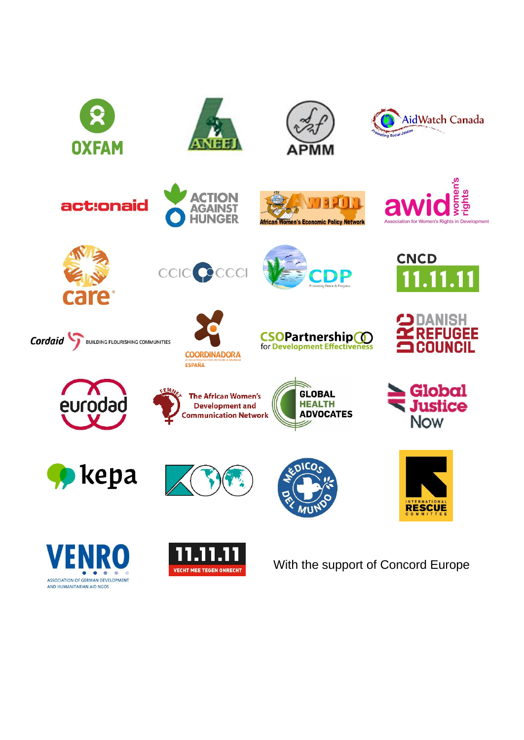